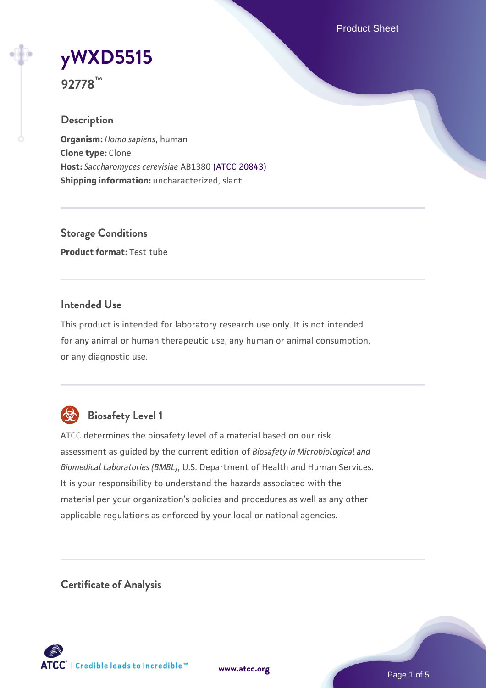Product Sheet

# **[yWXD5515](https://www.atcc.org/products/92778)**

**92778™**

# **Description**

**Organism:** *Homo sapiens*, human **Clone type:** Clone **Host:** *Saccharomyces cerevisiae* AB1380 [\(ATCC 20843\)](https://www.atcc.org/products/20843) **Shipping information:** uncharacterized, slant

**Storage Conditions Product format:** Test tube

# **Intended Use**

This product is intended for laboratory research use only. It is not intended for any animal or human therapeutic use, any human or animal consumption, or any diagnostic use.



# **Biosafety Level 1**

ATCC determines the biosafety level of a material based on our risk assessment as guided by the current edition of *Biosafety in Microbiological and Biomedical Laboratories (BMBL)*, U.S. Department of Health and Human Services. It is your responsibility to understand the hazards associated with the material per your organization's policies and procedures as well as any other applicable regulations as enforced by your local or national agencies.

**Certificate of Analysis**

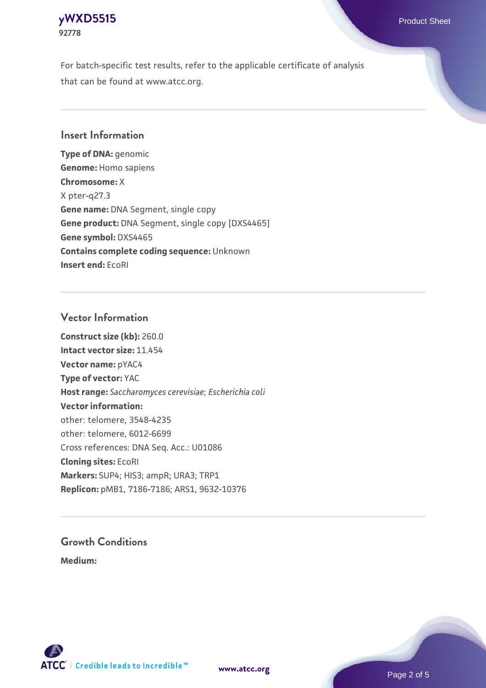#### **[yWXD5515](https://www.atcc.org/products/92778)** Product Sheet **92778**

For batch-specific test results, refer to the applicable certificate of analysis that can be found at www.atcc.org.

# **Insert Information**

**Type of DNA:** genomic **Genome:** Homo sapiens **Chromosome:** X X pter-q27.3 **Gene name:** DNA Segment, single copy **Gene product:** DNA Segment, single copy [DXS4465] **Gene symbol:** DXS4465 **Contains complete coding sequence:** Unknown **Insert end:** EcoRI

## **Vector Information**

**Construct size (kb):** 260.0 **Intact vector size:** 11.454 **Vector name:** pYAC4 **Type of vector:** YAC **Host range:** *Saccharomyces cerevisiae*; *Escherichia coli* **Vector information:** other: telomere, 3548-4235 other: telomere, 6012-6699 Cross references: DNA Seq. Acc.: U01086 **Cloning sites:** EcoRI **Markers:** SUP4; HIS3; ampR; URA3; TRP1 **Replicon:** pMB1, 7186-7186; ARS1, 9632-10376

# **Growth Conditions**

**Medium:** 



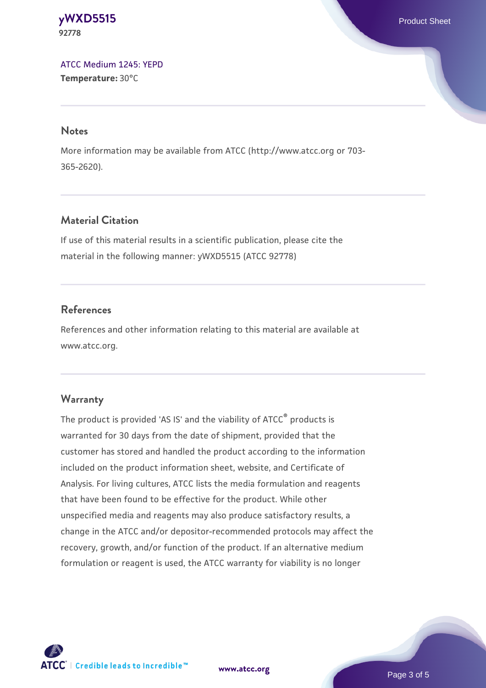#### **[yWXD5515](https://www.atcc.org/products/92778)** Product Sheet **92778**

[ATCC Medium 1245: YEPD](https://www.atcc.org/-/media/product-assets/documents/microbial-media-formulations/1/2/4/5/atcc-medium-1245.pdf?rev=705ca55d1b6f490a808a965d5c072196) **Temperature:** 30°C

#### **Notes**

More information may be available from ATCC (http://www.atcc.org or 703- 365-2620).

# **Material Citation**

If use of this material results in a scientific publication, please cite the material in the following manner: yWXD5515 (ATCC 92778)

# **References**

References and other information relating to this material are available at www.atcc.org.

# **Warranty**

The product is provided 'AS IS' and the viability of ATCC® products is warranted for 30 days from the date of shipment, provided that the customer has stored and handled the product according to the information included on the product information sheet, website, and Certificate of Analysis. For living cultures, ATCC lists the media formulation and reagents that have been found to be effective for the product. While other unspecified media and reagents may also produce satisfactory results, a change in the ATCC and/or depositor-recommended protocols may affect the recovery, growth, and/or function of the product. If an alternative medium formulation or reagent is used, the ATCC warranty for viability is no longer



**[www.atcc.org](http://www.atcc.org)**

Page 3 of 5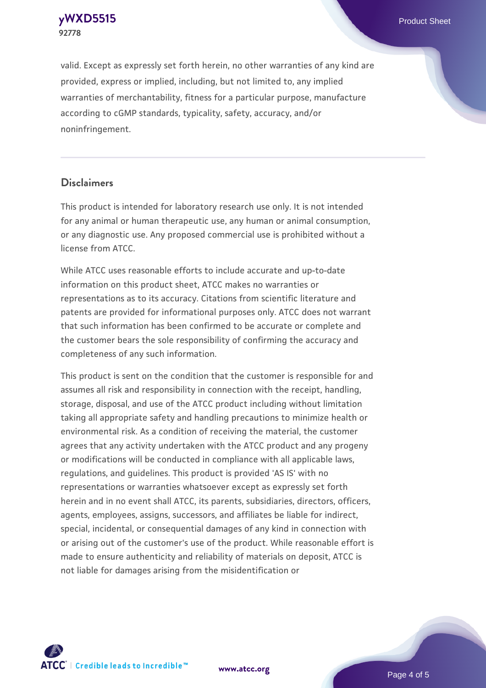**[yWXD5515](https://www.atcc.org/products/92778)** Product Sheet **92778**

valid. Except as expressly set forth herein, no other warranties of any kind are provided, express or implied, including, but not limited to, any implied warranties of merchantability, fitness for a particular purpose, manufacture according to cGMP standards, typicality, safety, accuracy, and/or noninfringement.

#### **Disclaimers**

This product is intended for laboratory research use only. It is not intended for any animal or human therapeutic use, any human or animal consumption, or any diagnostic use. Any proposed commercial use is prohibited without a license from ATCC.

While ATCC uses reasonable efforts to include accurate and up-to-date information on this product sheet, ATCC makes no warranties or representations as to its accuracy. Citations from scientific literature and patents are provided for informational purposes only. ATCC does not warrant that such information has been confirmed to be accurate or complete and the customer bears the sole responsibility of confirming the accuracy and completeness of any such information.

This product is sent on the condition that the customer is responsible for and assumes all risk and responsibility in connection with the receipt, handling, storage, disposal, and use of the ATCC product including without limitation taking all appropriate safety and handling precautions to minimize health or environmental risk. As a condition of receiving the material, the customer agrees that any activity undertaken with the ATCC product and any progeny or modifications will be conducted in compliance with all applicable laws, regulations, and guidelines. This product is provided 'AS IS' with no representations or warranties whatsoever except as expressly set forth herein and in no event shall ATCC, its parents, subsidiaries, directors, officers, agents, employees, assigns, successors, and affiliates be liable for indirect, special, incidental, or consequential damages of any kind in connection with or arising out of the customer's use of the product. While reasonable effort is made to ensure authenticity and reliability of materials on deposit, ATCC is not liable for damages arising from the misidentification or



**[www.atcc.org](http://www.atcc.org)**

Page 4 of 5